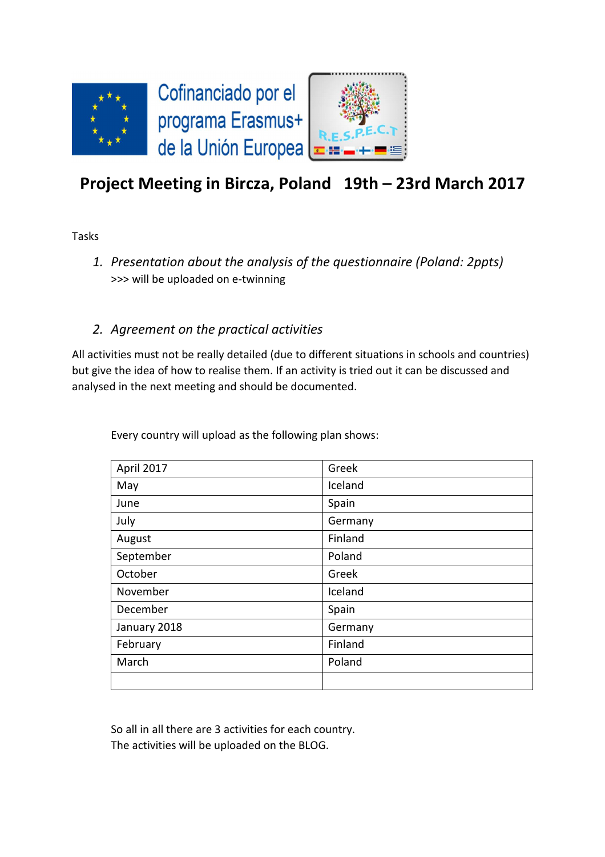

# **Project Meeting in Bircza, Poland 19th – 23rd March 2017**

Tasks

*1. Presentation about the analysis of the questionnaire (Poland: 2ppts)*  >>> will be uploaded on e-twinning

## *2. Agreement on the practical activities*

All activities must not be really detailed (due to different situations in schools and countries) but give the idea of how to realise them. If an activity is tried out it can be discussed and analysed in the next meeting and should be documented.

| April 2017   | Greek   |
|--------------|---------|
| May          | Iceland |
| June         | Spain   |
| July         | Germany |
| August       | Finland |
| September    | Poland  |
| October      | Greek   |
| November     | Iceland |
| December     | Spain   |
| January 2018 | Germany |
| February     | Finland |
| March        | Poland  |
|              |         |

Every country will upload as the following plan shows:

So all in all there are 3 activities for each country. The activities will be uploaded on the BLOG.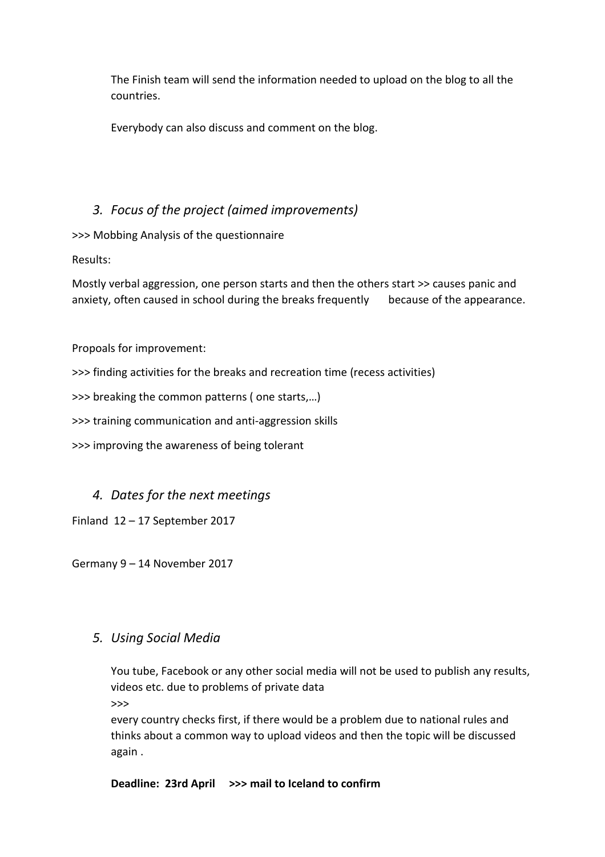The Finish team will send the information needed to upload on the blog to all the countries.

Everybody can also discuss and comment on the blog.

## *3. Focus of the project (aimed improvements)*

>>> Mobbing Analysis of the questionnaire

Results:

Mostly verbal aggression, one person starts and then the others start >> causes panic and anxiety, often caused in school during the breaks frequently because of the appearance.

Propoals for improvement:

>>> finding activities for the breaks and recreation time (recess activities)

>>> breaking the common patterns ( one starts,…)

>>> training communication and anti-aggression skills

>>> improving the awareness of being tolerant

#### *4. Dates for the next meetings*

Finland 12 – 17 September 2017

Germany 9 – 14 November 2017

#### *5. Using Social Media*

You tube, Facebook or any other social media will not be used to publish any results, videos etc. due to problems of private data >>>

every country checks first, if there would be a problem due to national rules and thinks about a common way to upload videos and then the topic will be discussed again .

**Deadline: 23rd April >>> mail to Iceland to confirm**